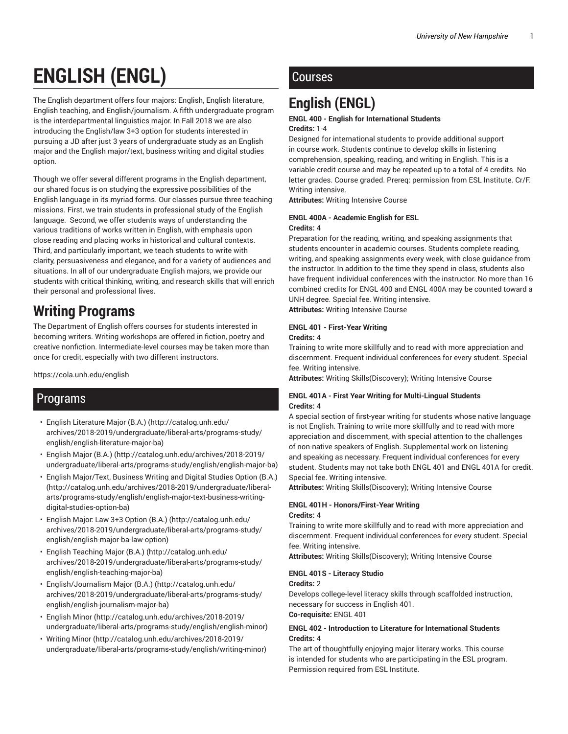# **ENGLISH (ENGL)**

The English department offers four majors: English, English literature, English teaching, and English/journalism. A fifth undergraduate program is the interdepartmental linguistics major. In Fall 2018 we are also introducing the English/law 3+3 option for students interested in pursuing a JD after just 3 years of undergraduate study as an English major and the English major/text, business writing and digital studies option.

Though we offer several different programs in the English department, our shared focus is on studying the expressive possibilities of the English language in its myriad forms. Our classes pursue three teaching missions. First, we train students in professional study of the English language. Second, we offer students ways of understanding the various traditions of works written in English, with emphasis upon close reading and placing works in historical and cultural contexts. Third, and particularly important, we teach students to write with clarity, persuasiveness and elegance, and for a variety of audiences and situations. In all of our undergraduate English majors, we provide our students with critical thinking, writing, and research skills that will enrich their personal and professional lives.

# **Writing Programs**

The Department of English offers courses for students interested in becoming writers. Writing workshops are offered in fiction, poetry and creative nonfiction. Intermediate-level courses may be taken more than once for credit, especially with two different instructors.

https://cola.unh.edu/english

# Programs

- English Literature Major (B.A.) (http://catalog.unh.edu/ archives/2018-2019/undergraduate/liberal-arts/programs-study/ english/english-literature-major-ba)
- English Major (B.A.) (http://catalog.unh.edu/archives/2018-2019/ undergraduate/liberal-arts/programs-study/english/english-major-ba)
- English Major/Text, Business Writing and Digital Studies Option (B.A.) (http://catalog.unh.edu/archives/2018-2019/undergraduate/liberalarts/programs-study/english/english-major-text-business-writingdigital-studies-option-ba)
- English Major: Law 3+3 Option (B.A.) (http://catalog.unh.edu/ archives/2018-2019/undergraduate/liberal-arts/programs-study/ english/english-major-ba-law-option)
- English Teaching Major (B.A.) (http://catalog.unh.edu/ archives/2018-2019/undergraduate/liberal-arts/programs-study/ english/english-teaching-major-ba)
- English/Journalism Major (B.A.) (http://catalog.unh.edu/ archives/2018-2019/undergraduate/liberal-arts/programs-study/ english/english-journalism-major-ba)
- English Minor (http://catalog.unh.edu/archives/2018-2019/ undergraduate/liberal-arts/programs-study/english/english-minor)
- Writing Minor (http://catalog.unh.edu/archives/2018-2019/ undergraduate/liberal-arts/programs-study/english/writing-minor)

# Courses

# **English (ENGL)**

#### **ENGL 400 - English for International Students Credits:** 1-4

Designed for international students to provide additional support in course work. Students continue to develop skills in listening comprehension, speaking, reading, and writing in English. This is a variable credit course and may be repeated up to a total of 4 credits. No letter grades. Course graded. Prereq: permission from ESL Institute. Cr/F. Writing intensive.

**Attributes:** Writing Intensive Course

### **ENGL 400A - Academic English for ESL Credits:** 4

Preparation for the reading, writing, and speaking assignments that students encounter in academic courses. Students complete reading, writing, and speaking assignments every week, with close guidance from the instructor. In addition to the time they spend in class, students also have frequent individual conferences with the instructor. No more than 16 combined credits for ENGL 400 and ENGL 400A may be counted toward a UNH degree. Special fee. Writing intensive. **Attributes:** Writing Intensive Course

# **ENGL 401 - First-Year Writing**

**Credits:** 4

Training to write more skillfully and to read with more appreciation and discernment. Frequent individual conferences for every student. Special fee. Writing intensive.

**Attributes:** Writing Skills(Discovery); Writing Intensive Course

# **ENGL 401A - First Year Writing for Multi-Lingual Students Credits:** 4

A special section of first-year writing for students whose native language is not English. Training to write more skillfully and to read with more appreciation and discernment, with special attention to the challenges of non-native speakers of English. Supplemental work on listening and speaking as necessary. Frequent individual conferences for every student. Students may not take both ENGL 401 and ENGL 401A for credit. Special fee. Writing intensive.

**Attributes:** Writing Skills(Discovery); Writing Intensive Course

# **ENGL 401H - Honors/First-Year Writing Credits:** 4

Training to write more skillfully and to read with more appreciation and discernment. Frequent individual conferences for every student. Special fee. Writing intensive.

**Attributes:** Writing Skills(Discovery); Writing Intensive Course

# **ENGL 401S - Literacy Studio**

#### **Credits:** 2

Develops college-level literacy skills through scaffolded instruction, necessary for success in English 401. **Co-requisite:** ENGL 401

# **ENGL 402 - Introduction to Literature for International Students Credits:** 4

The art of thoughtfully enjoying major literary works. This course is intended for students who are participating in the ESL program. Permission required from ESL Institute.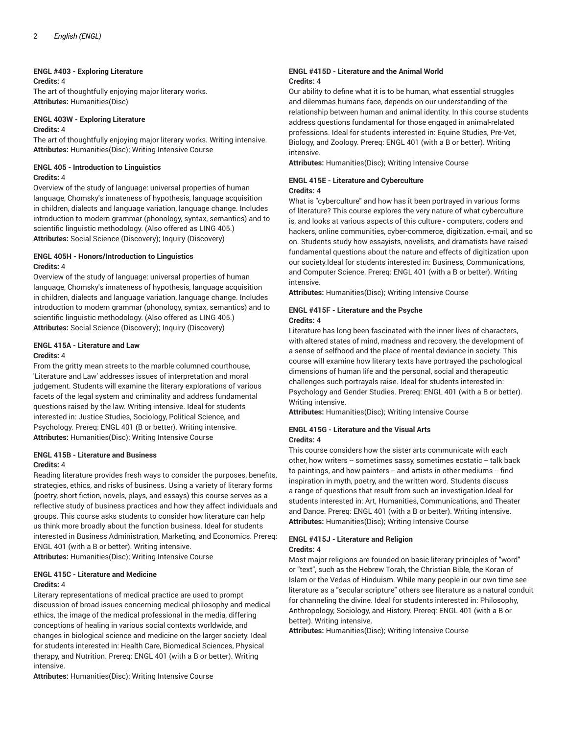### **ENGL #403 - Exploring Literature**

#### **Credits:** 4

The art of thoughtfully enjoying major literary works. **Attributes:** Humanities(Disc)

#### **ENGL 403W - Exploring Literature Credits:** 4

The art of thoughtfully enjoying major literary works. Writing intensive. **Attributes:** Humanities(Disc); Writing Intensive Course

# **ENGL 405 - Introduction to Linguistics Credits:** 4

Overview of the study of language: universal properties of human language, Chomsky's innateness of hypothesis, language acquisition in children, dialects and language variation, language change. Includes introduction to modern grammar (phonology, syntax, semantics) and to scientific linguistic methodology. (Also offered as LING 405.) **Attributes:** Social Science (Discovery); Inquiry (Discovery)

### **ENGL 405H - Honors/Introduction to Linguistics Credits:** 4

Overview of the study of language: universal properties of human language, Chomsky's innateness of hypothesis, language acquisition in children, dialects and language variation, language change. Includes introduction to modern grammar (phonology, syntax, semantics) and to scientific linguistic methodology. (Also offered as LING 405.) **Attributes:** Social Science (Discovery); Inquiry (Discovery)

# **ENGL 415A - Literature and Law**

### **Credits:** 4

From the gritty mean streets to the marble columned courthouse, 'Literature and Law' addresses issues of interpretation and moral judgement. Students will examine the literary explorations of various facets of the legal system and criminality and address fundamental questions raised by the law. Writing intensive. Ideal for students interested in: Justice Studies, Sociology, Political Science, and Psychology. Prereq: ENGL 401 (B or better). Writing intensive. **Attributes:** Humanities(Disc); Writing Intensive Course

# **ENGL 415B - Literature and Business Credits:** 4

Reading literature provides fresh ways to consider the purposes, benefits, strategies, ethics, and risks of business. Using a variety of literary forms (poetry, short fiction, novels, plays, and essays) this course serves as a reflective study of business practices and how they affect individuals and groups. This course asks students to consider how literature can help us think more broadly about the function business. Ideal for students interested in Business Administration, Marketing, and Economics. Prereq: ENGL 401 (with a B or better). Writing intensive.

**Attributes:** Humanities(Disc); Writing Intensive Course

# **ENGL 415C - Literature and Medicine**

#### **Credits:** 4

Literary representations of medical practice are used to prompt discussion of broad issues concerning medical philosophy and medical ethics, the image of the medical professional in the media, differing conceptions of healing in various social contexts worldwide, and changes in biological science and medicine on the larger society. Ideal for students interested in: Health Care, Biomedical Sciences, Physical therapy, and Nutrition. Prereq: ENGL 401 (with a B or better). Writing intensive.

**Attributes:** Humanities(Disc); Writing Intensive Course

#### **ENGL #415D - Literature and the Animal World Credits:** 4

Our ability to define what it is to be human, what essential struggles and dilemmas humans face, depends on our understanding of the relationship between human and animal identity. In this course students address questions fundamental for those engaged in animal-related professions. Ideal for students interested in: Equine Studies, Pre-Vet, Biology, and Zoology. Prereq: ENGL 401 (with a B or better). Writing intensive.

**Attributes:** Humanities(Disc); Writing Intensive Course

#### **ENGL 415E - Literature and Cyberculture Credits:** 4

What is "cyberculture" and how has it been portrayed in various forms of literature? This course explores the very nature of what cyberculture is, and looks at various aspects of this culture - computers, coders and hackers, online communities, cyber-commerce, digitization, e-mail, and so on. Students study how essayists, novelists, and dramatists have raised fundamental questions about the nature and effects of digitization upon our society.Ideal for students interested in: Business, Communications, and Computer Science. Prereq: ENGL 401 (with a B or better). Writing intensive.

**Attributes:** Humanities(Disc); Writing Intensive Course

### **ENGL #415F - Literature and the Psyche Credits:** 4

Literature has long been fascinated with the inner lives of characters, with altered states of mind, madness and recovery, the development of a sense of selfhood and the place of mental deviance in society. This course will examine how literary texts have portrayed the pschological dimensions of human life and the personal, social and therapeutic challenges such portrayals raise. Ideal for students interested in: Psychology and Gender Studies. Prereq: ENGL 401 (with a B or better). Writing intensive.

**Attributes:** Humanities(Disc); Writing Intensive Course

#### **ENGL 415G - Literature and the Visual Arts Credits:** 4

This course considers how the sister arts communicate with each other, how writers -- sometimes sassy, sometimes ecstatic -- talk back to paintings, and how painters -- and artists in other mediums -- find inspiration in myth, poetry, and the written word. Students discuss a range of questions that result from such an investigation.Ideal for students interested in: Art, Humanities, Communications, and Theater and Dance. Prereq: ENGL 401 (with a B or better). Writing intensive. **Attributes:** Humanities(Disc); Writing Intensive Course

#### **ENGL #415J - Literature and Religion Credits:** 4

Most major religions are founded on basic literary principles of "word" or "text", such as the Hebrew Torah, the Christian Bible, the Koran of Islam or the Vedas of Hinduism. While many people in our own time see literature as a "secular scripture" others see literature as a natural conduit for channeling the divine. Ideal for students interested in: Philosophy, Anthropology, Sociology, and History. Prereq: ENGL 401 (with a B or better). Writing intensive.

**Attributes:** Humanities(Disc); Writing Intensive Course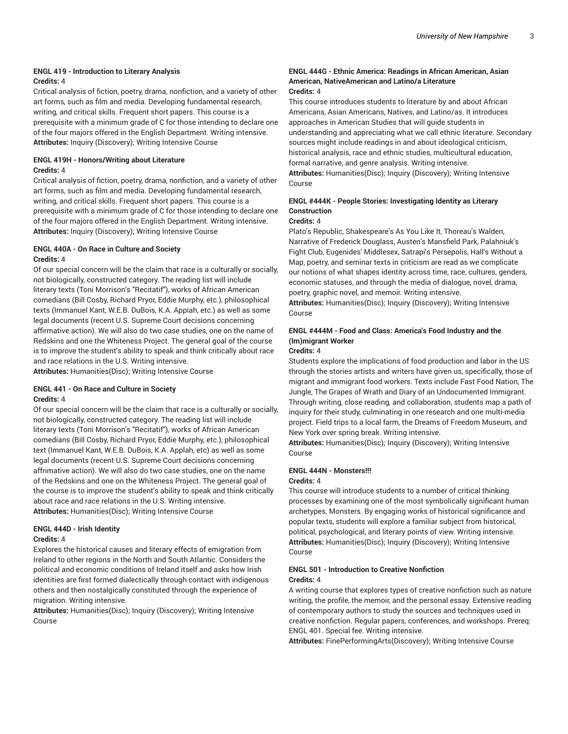#### **ENGL 419 - Introduction to Literary Analysis Credits:** 4

Critical analysis of fiction, poetry, drama, nonfiction, and a variety of other art forms, such as film and media. Developing fundamental research, writing, and critical skills. Frequent short papers. This course is a prerequisite with a minimum grade of C for those intending to declare one of the four majors offered in the English Department. Writing intensive. **Attributes:** Inquiry (Discovery); Writing Intensive Course

# **ENGL 419H - Honors/Writing about Literature Credits:** 4

Critical analysis of fiction, poetry, drama, nonfiction, and a variety of other art forms, such as film and media. Developing fundamental research, writing, and critical skills. Frequent short papers. This course is a prerequisite with a minimum grade of C for those intending to declare one of the four majors offered in the English Department. Writing intensive. **Attributes:** Inquiry (Discovery); Writing Intensive Course

# **ENGL 440A - On Race in Culture and Society Credits:** 4

Of our special concern will be the claim that race is a culturally or socially, not biologically, constructed category. The reading list will include literary texts (Toni Morrison's "Recitatif"), works of African American comedians (Bill Cosby, Richard Pryor, Eddie Murphy, etc.), philosophical texts (Immanuel Kant, W.E.B. DuBois, K.A. Appiah, etc.) as well as some legal documents (recent U.S. Supreme Court decisions concerning affirmative action). We will also do two case studies, one on the name of Redskins and one the Whiteness Project. The general goal of the course is to improve the student's ability to speak and think critically about race and race relations in the U.S. Writing intensive.

**Attributes:** Humanities(Disc); Writing Intensive Course

#### **ENGL 441 - On Race and Culture in Society Credits:** 4

Of our special concern will be the claim that race is a culturally or socially, not biologically, constructed category. The reading list will include literary texts (Toni Morrison's "Recitatif"), works of African American comedians (Bill Cosby, Richard Pryor, Eddie Murphy, etc.), philosophical text (Immanuel Kant, W.E.B. DuBois, K.A. Applah, etc) as well as some legal documents (recent U.S. Supreme Court decisions concerning affrimative action). We will also do two case studies, one on the name of the Redskins and one on the Whiteness Project. The general goal of the course is to improve the student's ability to speak and think critically about race and race relations in the U.S. Writing intensive. **Attributes:** Humanities(Disc); Writing Intensive Course

#### **ENGL 444D - Irish Identity**

#### **Credits:** 4

Explores the historical causes and literary effects of emigration from Ireland to other regions in the North and South Atlantic. Considers the political and economic conditions of Ireland itself and asks how Irish identities are first formed dialectically through contact with indigenous others and then nostalgically constituted through the experience of migration. Writing intensive.

**Attributes:** Humanities(Disc); Inquiry (Discovery); Writing Intensive Course

# **ENGL 444G - Ethnic America: Readings in African American, Asian American, NativeAmerican and Latino/a Literature**

# **Credits:** 4

This course introduces students to literature by and about African Americans, Asian Americans, Natives, and Latino/as. It introduces approaches in American Studies that will guide students in understanding and appreciating what we call ethnic literature. Secondary sources might include readings in and about ideological criticism, historical analysis, race and ethnic studies, multicultural education, formal narrative, and genre analysis. Writing intensive.

**Attributes:** Humanities(Disc); Inquiry (Discovery); Writing Intensive Course

# **ENGL #444K - People Stories: Investigating Identity as Literary Construction**

# **Credits:** 4

Plato's Republic, Shakespeare's As You Like It, Thoreau's Walden, Narrative of Frederick Douglass, Austen's Mansfield Park, Palahniuk's Fight Club, Eugenides' Middlesex, Satrapi's Persepolis, Hall's Without a Map, poetry, and seminar texts in criticism are read as we complicate our notions of what shapes identity across time, race, cultures, genders, economic statuses, and through the media of dialogue, novel, drama, poetry, graphic novel, and memoir. Writing intensive.

**Attributes:** Humanities(Disc); Inquiry (Discovery); Writing Intensive Course

# **ENGL #444M - Food and Class: America's Food Industry and the (Im)migrant Worker**

#### **Credits:** 4

Students explore the implications of food production and labor in the US through the stories artists and writers have given us, specifically, those of migrant and immigrant food workers. Texts include Fast Food Nation, The Jungle, The Grapes of Wrath and Diary of an Undocumented Immigrant. Through writing, close reading, and collaboration, students map a path of inquiry for their study, culminating in one research and one multi-media project. Field trips to a local farm, the Dreams of Freedom Museum, and New York over spring break. Writing intensive.

**Attributes:** Humanities(Disc); Inquiry (Discovery); Writing Intensive Course

#### **ENGL 444N - Monsters!!!**

#### **Credits:** 4

This course will introduce students to a number of critical thinking processes by examining one of the most symbolically significant human archetypes, Monsters. By engaging works of historical significance and popular texts, students will explore a familiar subject from historical, political, psychological, and literary points of view. Writing intensive. **Attributes:** Humanities(Disc); Inquiry (Discovery); Writing Intensive Course

#### **ENGL 501 - Introduction to Creative Nonfiction Credits:** 4

A writing course that explores types of creative nonfiction such as nature writing, the profile, the memoir, and the personal essay. Extensive reading of contemporary authors to study the sources and techniques used in creative nonfiction. Regular papers, conferences, and workshops. Prereq: ENGL 401. Special fee. Writing intensive.

**Attributes:** FinePerformingArts(Discovery); Writing Intensive Course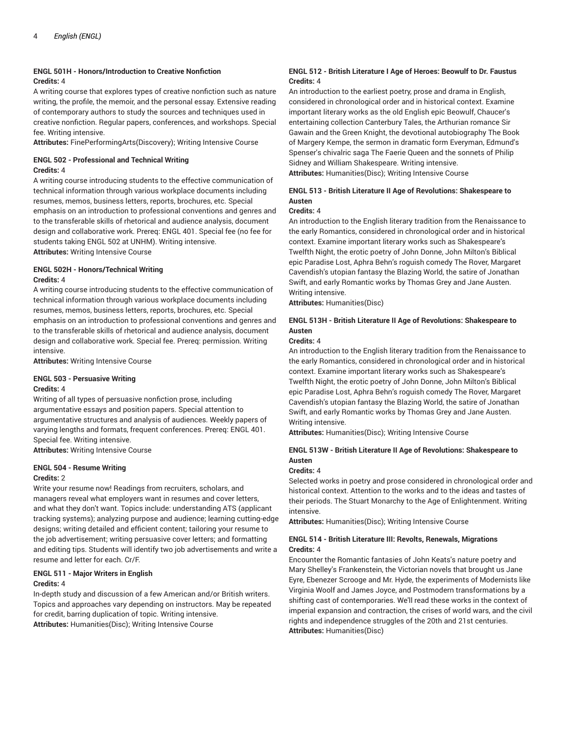# **ENGL 501H - Honors/Introduction to Creative Nonfiction Credits:** 4

A writing course that explores types of creative nonfiction such as nature writing, the profile, the memoir, and the personal essay. Extensive reading of contemporary authors to study the sources and techniques used in creative nonfiction. Regular papers, conferences, and workshops. Special fee. Writing intensive.

**Attributes:** FinePerformingArts(Discovery); Writing Intensive Course

# **ENGL 502 - Professional and Technical Writing Credits:** 4

A writing course introducing students to the effective communication of technical information through various workplace documents including resumes, memos, business letters, reports, brochures, etc. Special emphasis on an introduction to professional conventions and genres and to the transferable skills of rhetorical and audience analysis, document design and collaborative work. Prereq: ENGL 401. Special fee (no fee for students taking ENGL 502 at UNHM). Writing intensive. **Attributes:** Writing Intensive Course

# **ENGL 502H - Honors/Technical Writing Credits:** 4

A writing course introducing students to the effective communication of technical information through various workplace documents including resumes, memos, business letters, reports, brochures, etc. Special emphasis on an introduction to professional conventions and genres and to the transferable skills of rhetorical and audience analysis, document design and collaborative work. Special fee. Prereq: permission. Writing intensive.

**Attributes:** Writing Intensive Course

#### **ENGL 503 - Persuasive Writing Credits:** 4

Writing of all types of persuasive nonfiction prose, including argumentative essays and position papers. Special attention to argumentative structures and analysis of audiences. Weekly papers of varying lengths and formats, frequent conferences. Prereq: ENGL 401. Special fee. Writing intensive.

**Attributes:** Writing Intensive Course

# **ENGL 504 - Resume Writing**

#### **Credits:** 2

Write your resume now! Readings from recruiters, scholars, and managers reveal what employers want in resumes and cover letters, and what they don't want. Topics include: understanding ATS (applicant tracking systems); analyzing purpose and audience; learning cutting-edge designs; writing detailed and efficient content; tailoring your resume to the job advertisement; writing persuasive cover letters; and formatting and editing tips. Students will identify two job advertisements and write a resume and letter for each. Cr/F.

# **ENGL 511 - Major Writers in English**

#### **Credits:** 4

In-depth study and discussion of a few American and/or British writers. Topics and approaches vary depending on instructors. May be repeated for credit, barring duplication of topic. Writing intensive. **Attributes:** Humanities(Disc); Writing Intensive Course

#### **ENGL 512 - British Literature I Age of Heroes: Beowulf to Dr. Faustus Credits:** 4

An introduction to the earliest poetry, prose and drama in English, considered in chronological order and in historical context. Examine important literary works as the old English epic Beowulf, Chaucer's entertaining collection Canterbury Tales, the Arthurian romance Sir Gawain and the Green Knight, the devotional autobiography The Book of Margery Kempe, the sermon in dramatic form Everyman, Edmund's Spenser's chivalric saga The Faerie Queen and the sonnets of Philip Sidney and William Shakespeare. Writing intensive. **Attributes:** Humanities(Disc); Writing Intensive Course

# **ENGL 513 - British Literature II Age of Revolutions: Shakespeare to Austen**

#### **Credits:** 4

An introduction to the English literary tradition from the Renaissance to the early Romantics, considered in chronological order and in historical context. Examine important literary works such as Shakespeare's Twelfth Night, the erotic poetry of John Donne, John Milton's Biblical epic Paradise Lost, Aphra Behn's roguish comedy The Rover, Margaret Cavendish's utopian fantasy the Blazing World, the satire of Jonathan Swift, and early Romantic works by Thomas Grey and Jane Austen. Writing intensive.

**Attributes:** Humanities(Disc)

# **ENGL 513H - British Literature II Age of Revolutions: Shakespeare to Austen**

#### **Credits:** 4

An introduction to the English literary tradition from the Renaissance to the early Romantics, considered in chronological order and in historical context. Examine important literary works such as Shakespeare's Twelfth Night, the erotic poetry of John Donne, John Milton's Biblical epic Paradise Lost, Aphra Behn's roguish comedy The Rover, Margaret Cavendish's utopian fantasy the Blazing World, the satire of Jonathan Swift, and early Romantic works by Thomas Grey and Jane Austen. Writing intensive.

**Attributes:** Humanities(Disc); Writing Intensive Course

# **ENGL 513W - British Literature II Age of Revolutions: Shakespeare to Austen**

#### **Credits:** 4

Selected works in poetry and prose considered in chronological order and historical context. Attention to the works and to the ideas and tastes of their periods. The Stuart Monarchy to the Age of Enlightenment. Writing intensive.

**Attributes:** Humanities(Disc); Writing Intensive Course

#### **ENGL 514 - British Literature III: Revolts, Renewals, Migrations Credits:** 4

Encounter the Romantic fantasies of John Keats's nature poetry and Mary Shelley's Frankenstein, the Victorian novels that brought us Jane Eyre, Ebenezer Scrooge and Mr. Hyde, the experiments of Modernists like Virginia Woolf and James Joyce, and Postmodern transformations by a shifting cast of contemporaries. We'll read these works in the context of imperial expansion and contraction, the crises of world wars, and the civil rights and independence struggles of the 20th and 21st centuries. **Attributes:** Humanities(Disc)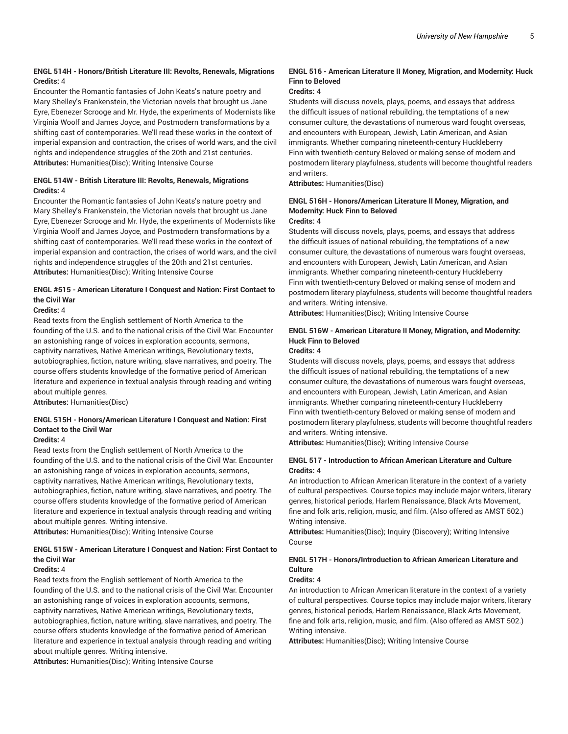### **ENGL 514H - Honors/British Literature III: Revolts, Renewals, Migrations Credits:** 4

Encounter the Romantic fantasies of John Keats's nature poetry and Mary Shelley's Frankenstein, the Victorian novels that brought us Jane Eyre, Ebenezer Scrooge and Mr. Hyde, the experiments of Modernists like Virginia Woolf and James Joyce, and Postmodern transformations by a shifting cast of contemporaries. We'll read these works in the context of imperial expansion and contraction, the crises of world wars, and the civil rights and independence struggles of the 20th and 21st centuries. **Attributes:** Humanities(Disc); Writing Intensive Course

#### **ENGL 514W - British Literature III: Revolts, Renewals, Migrations Credits:** 4

Encounter the Romantic fantasies of John Keats's nature poetry and Mary Shelley's Frankenstein, the Victorian novels that brought us Jane Eyre, Ebenezer Scrooge and Mr. Hyde, the experiments of Modernists like Virginia Woolf and James Joyce, and Postmodern transformations by a shifting cast of contemporaries. We'll read these works in the context of imperial expansion and contraction, the crises of world wars, and the civil rights and independence struggles of the 20th and 21st centuries. **Attributes:** Humanities(Disc); Writing Intensive Course

# **ENGL #515 - American Literature I Conquest and Nation: First Contact to the Civil War**

**Credits:** 4

Read texts from the English settlement of North America to the founding of the U.S. and to the national crisis of the Civil War. Encounter an astonishing range of voices in exploration accounts, sermons, captivity narratives, Native American writings, Revolutionary texts, autobiographies, fiction, nature writing, slave narratives, and poetry. The course offers students knowledge of the formative period of American literature and experience in textual analysis through reading and writing about multiple genres.

**Attributes:** Humanities(Disc)

# **ENGL 515H - Honors/American Literature I Conquest and Nation: First Contact to the Civil War**

#### **Credits:** 4

Read texts from the English settlement of North America to the founding of the U.S. and to the national crisis of the Civil War. Encounter an astonishing range of voices in exploration accounts, sermons, captivity narratives, Native American writings, Revolutionary texts, autobiographies, fiction, nature writing, slave narratives, and poetry. The course offers students knowledge of the formative period of American literature and experience in textual analysis through reading and writing about multiple genres. Writing intensive.

**Attributes:** Humanities(Disc); Writing Intensive Course

# **ENGL 515W - American Literature I Conquest and Nation: First Contact to the Civil War**

#### **Credits:** 4

Read texts from the English settlement of North America to the founding of the U.S. and to the national crisis of the Civil War. Encounter an astonishing range of voices in exploration accounts, sermons, captivity narratives, Native American writings, Revolutionary texts, autobiographies, fiction, nature writing, slave narratives, and poetry. The course offers students knowledge of the formative period of American literature and experience in textual analysis through reading and writing about multiple genres. Writing intensive.

**Attributes:** Humanities(Disc); Writing Intensive Course

#### **ENGL 516 - American Literature II Money, Migration, and Modernity: Huck Finn to Beloved**

#### **Credits:** 4

Students will discuss novels, plays, poems, and essays that address the difficult issues of national rebuilding, the temptations of a new consumer culture, the devastations of numerous ward fought overseas, and encounters with European, Jewish, Latin American, and Asian immigrants. Whether comparing nineteenth-century Huckleberry Finn with twentieth-century Beloved or making sense of modern and postmodern literary playfulness, students will become thoughtful readers and writers.

**Attributes:** Humanities(Disc)

# **ENGL 516H - Honors/American Literature II Money, Migration, and Modernity: Huck Finn to Beloved**

**Credits:** 4

Students will discuss novels, plays, poems, and essays that address the difficult issues of national rebuilding, the temptations of a new consumer culture, the devastations of numerous wars fought overseas, and encounters with European, Jewish, Latin American, and Asian immigrants. Whether comparing nineteenth-century Huckleberry Finn with twentieth-century Beloved or making sense of modern and postmodern literary playfulness, students will become thoughtful readers and writers. Writing intensive.

**Attributes:** Humanities(Disc); Writing Intensive Course

# **ENGL 516W - American Literature II Money, Migration, and Modernity: Huck Finn to Beloved**

#### **Credits:** 4

Students will discuss novels, plays, poems, and essays that address the difficult issues of national rebuilding, the temptations of a new consumer culture, the devastations of numerous wars fought overseas, and encounters with European, Jewish, Latin American, and Asian immigrants. Whether comparing nineteenth-century Huckleberry Finn with twentieth-century Beloved or making sense of modern and postmodern literary playfulness, students will become thoughtful readers and writers. Writing intensive.

**Attributes:** Humanities(Disc); Writing Intensive Course

#### **ENGL 517 - Introduction to African American Literature and Culture Credits:** 4

An introduction to African American literature in the context of a variety of cultural perspectives. Course topics may include major writers, literary genres, historical periods, Harlem Renaissance, Black Arts Movement, fine and folk arts, religion, music, and film. (Also offered as AMST 502.) Writing intensive.

**Attributes:** Humanities(Disc); Inquiry (Discovery); Writing Intensive Course

# **ENGL 517H - Honors/Introduction to African American Literature and Culture**

#### **Credits:** 4

An introduction to African American literature in the context of a variety of cultural perspectives. Course topics may include major writers, literary genres, historical periods, Harlem Renaissance, Black Arts Movement, fine and folk arts, religion, music, and film. (Also offered as AMST 502.) Writing intensive.

**Attributes:** Humanities(Disc); Writing Intensive Course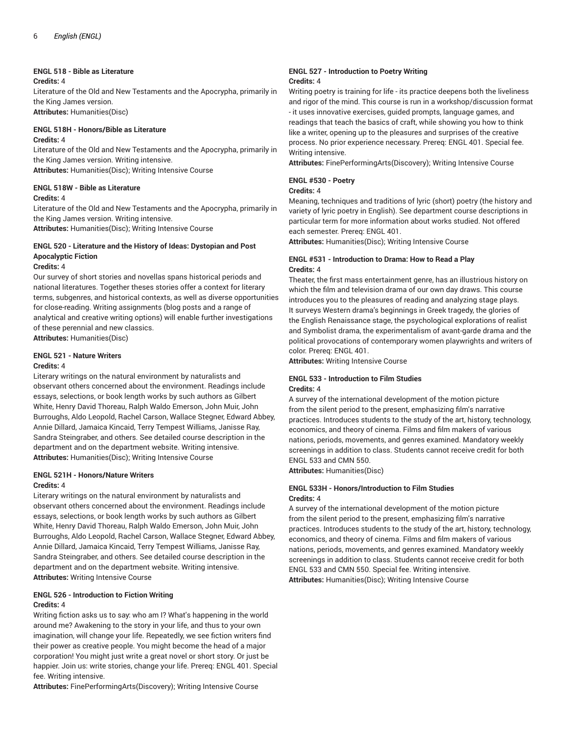#### **ENGL 518 - Bible as Literature**

#### **Credits:** 4

Literature of the Old and New Testaments and the Apocrypha, primarily in the King James version. **Attributes:** Humanities(Disc)

**ENGL 518H - Honors/Bible as Literature**

#### **Credits:** 4

Literature of the Old and New Testaments and the Apocrypha, primarily in the King James version. Writing intensive.

**Attributes:** Humanities(Disc); Writing Intensive Course

#### **ENGL 518W - Bible as Literature**

#### **Credits:** 4

Literature of the Old and New Testaments and the Apocrypha, primarily in the King James version. Writing intensive. **Attributes:** Humanities(Disc); Writing Intensive Course

# **ENGL 520 - Literature and the History of Ideas: Dystopian and Post Apocalyptic Fiction**

#### **Credits:** 4

Our survey of short stories and novellas spans historical periods and national literatures. Together theses stories offer a context for literary terms, subgenres, and historical contexts, as well as diverse opportunities for close-reading. Writing assignments (blog posts and a range of analytical and creative writing options) will enable further investigations of these perennial and new classics. **Attributes:** Humanities(Disc)

#### **ENGL 521 - Nature Writers Credits:** 4

Literary writings on the natural environment by naturalists and observant others concerned about the environment. Readings include essays, selections, or book length works by such authors as Gilbert White, Henry David Thoreau, Ralph Waldo Emerson, John Muir, John Burroughs, Aldo Leopold, Rachel Carson, Wallace Stegner, Edward Abbey, Annie Dillard, Jamaica Kincaid, Terry Tempest Williams, Janisse Ray, Sandra Steingraber, and others. See detailed course description in the department and on the department website. Writing intensive. **Attributes:** Humanities(Disc); Writing Intensive Course

#### **ENGL 521H - Honors/Nature Writers Credits:** 4

Literary writings on the natural environment by naturalists and observant others concerned about the environment. Readings include essays, selections, or book length works by such authors as Gilbert White, Henry David Thoreau, Ralph Waldo Emerson, John Muir, John Burroughs, Aldo Leopold, Rachel Carson, Wallace Stegner, Edward Abbey, Annie Dillard, Jamaica Kincaid, Terry Tempest Williams, Janisse Ray, Sandra Steingraber, and others. See detailed course description in the department and on the department website. Writing intensive. **Attributes:** Writing Intensive Course

#### **ENGL 526 - Introduction to Fiction Writing Credits:** 4

Writing fiction asks us to say: who am I? What's happening in the world around me? Awakening to the story in your life, and thus to your own imagination, will change your life. Repeatedly, we see fiction writers find their power as creative people. You might become the head of a major corporation! You might just write a great novel or short story. Or just be happier. Join us: write stories, change your life. Prereq: ENGL 401. Special fee. Writing intensive.

**Attributes:** FinePerformingArts(Discovery); Writing Intensive Course

#### **ENGL 527 - Introduction to Poetry Writing Credits:** 4

Writing poetry is training for life - its practice deepens both the liveliness and rigor of the mind. This course is run in a workshop/discussion format - it uses innovative exercises, guided prompts, language games, and readings that teach the basics of craft, while showing you how to think like a writer, opening up to the pleasures and surprises of the creative process. No prior experience necessary. Prereq: ENGL 401. Special fee. Writing intensive.

**Attributes:** FinePerformingArts(Discovery); Writing Intensive Course

# **ENGL #530 - Poetry**

#### **Credits:** 4

Meaning, techniques and traditions of lyric (short) poetry (the history and variety of lyric poetry in English). See department course descriptions in particular term for more information about works studied. Not offered each semester. Prereq: ENGL 401.

**Attributes:** Humanities(Disc); Writing Intensive Course

#### **ENGL #531 - Introduction to Drama: How to Read a Play Credits:** 4

Theater, the first mass entertainment genre, has an illustrious history on which the film and television drama of our own day draws. This course introduces you to the pleasures of reading and analyzing stage plays. It surveys Western drama's beginnings in Greek tragedy, the glories of the English Renaissance stage, the psychological explorations of realist and Symbolist drama, the experimentalism of avant-garde drama and the political provocations of contemporary women playwrights and writers of color. Prereq: ENGL 401.

**Attributes:** Writing Intensive Course

#### **ENGL 533 - Introduction to Film Studies Credits:** 4

A survey of the international development of the motion picture from the silent period to the present, emphasizing film's narrative practices. Introduces students to the study of the art, history, technology, economics, and theory of cinema. Films and film makers of various nations, periods, movements, and genres examined. Mandatory weekly screenings in addition to class. Students cannot receive credit for both ENGL 533 and CMN 550.

**Attributes:** Humanities(Disc)

### **ENGL 533H - Honors/Introduction to Film Studies Credits:** 4

A survey of the international development of the motion picture from the silent period to the present, emphasizing film's narrative practices. Introduces students to the study of the art, history, technology, economics, and theory of cinema. Films and film makers of various nations, periods, movements, and genres examined. Mandatory weekly screenings in addition to class. Students cannot receive credit for both ENGL 533 and CMN 550. Special fee. Writing intensive. **Attributes:** Humanities(Disc); Writing Intensive Course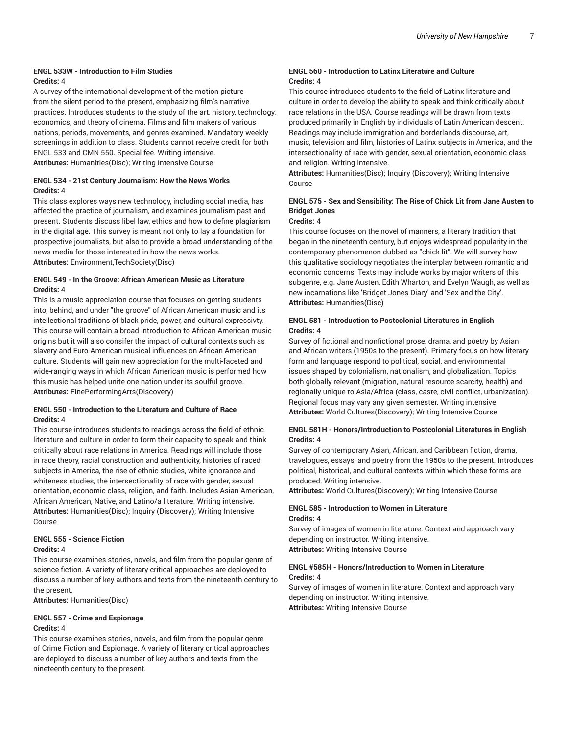#### **ENGL 533W - Introduction to Film Studies Credits:** 4

A survey of the international development of the motion picture from the silent period to the present, emphasizing film's narrative practices. Introduces students to the study of the art, history, technology, economics, and theory of cinema. Films and film makers of various nations, periods, movements, and genres examined. Mandatory weekly screenings in addition to class. Students cannot receive credit for both ENGL 533 and CMN 550. Special fee. Writing intensive. **Attributes:** Humanities(Disc); Writing Intensive Course

#### **ENGL 534 - 21st Century Journalism: How the News Works Credits:** 4

This class explores ways new technology, including social media, has affected the practice of journalism, and examines journalism past and present. Students discuss libel law, ethics and how to define plagiarism in the digital age. This survey is meant not only to lay a foundation for prospective journalists, but also to provide a broad understanding of the news media for those interested in how the news works. **Attributes:** Environment,TechSociety(Disc)

#### **ENGL 549 - In the Groove: African American Music as Literature Credits:** 4

This is a music appreciation course that focuses on getting students into, behind, and under "the groove" of African American music and its intellectional traditions of black pride, power, and cultural expressivty. This course will contain a broad introduction to African American music origins but it will also consifer the impact of cultural contexts such as slavery and Euro-American musical influences on African American culture. Students will gain new appreciation for the multi-faceted and wide-ranging ways in which African American music is performed how this music has helped unite one nation under its soulful groove. **Attributes:** FinePerformingArts(Discovery)

#### **ENGL 550 - Introduction to the Literature and Culture of Race Credits:** 4

This course introduces students to readings across the field of ethnic literature and culture in order to form their capacity to speak and think critically about race relations in America. Readings will include those in race theory, racial construction and authenticity, histories of raced subjects in America, the rise of ethnic studies, white ignorance and whiteness studies, the intersectionality of race with gender, sexual orientation, economic class, religion, and faith. Includes Asian American, African American, Native, and Latino/a literature. Writing intensive. **Attributes:** Humanities(Disc); Inquiry (Discovery); Writing Intensive Course

#### **ENGL 555 - Science Fiction Credits:** 4

This course examines stories, novels, and film from the popular genre of science fiction. A variety of literary critical approaches are deployed to discuss a number of key authors and texts from the nineteenth century to the present.

**Attributes:** Humanities(Disc)

#### **ENGL 557 - Crime and Espionage Credits:** 4

This course examines stories, novels, and film from the popular genre of Crime Fiction and Espionage. A variety of literary critical approaches are deployed to discuss a number of key authors and texts from the nineteenth century to the present.

#### **ENGL 560 - Introduction to Latinx Literature and Culture Credits:** 4

This course introduces students to the field of Latinx literature and culture in order to develop the ability to speak and think critically about race relations in the USA. Course readings will be drawn from texts produced primarily in English by individuals of Latin American descent. Readings may include immigration and borderlands discourse, art, music, television and film, histories of Latinx subjects in America, and the intersectionality of race with gender, sexual orientation, economic class and religion. Writing intensive.

**Attributes:** Humanities(Disc); Inquiry (Discovery); Writing Intensive Course

# **ENGL 575 - Sex and Sensibility: The Rise of Chick Lit from Jane Austen to Bridget Jones**

#### **Credits:** 4

This course focuses on the novel of manners, a literary tradition that began in the nineteenth century, but enjoys widespread popularity in the contemporary phenomenon dubbed as "chick lit". We will survey how this qualitative sociology negotiates the interplay between romantic and economic concerns. Texts may include works by major writers of this subgenre, e.g. Jane Austen, Edith Wharton, and Evelyn Waugh, as well as new incarnations like 'Bridget Jones Diary' and 'Sex and the City'. **Attributes:** Humanities(Disc)

### **ENGL 581 - Introduction to Postcolonial Literatures in English Credits:** 4

Survey of fictional and nonfictional prose, drama, and poetry by Asian and African writers (1950s to the present). Primary focus on how literary form and language respond to political, social, and environmental issues shaped by colonialism, nationalism, and globalization. Topics both globally relevant (migration, natural resource scarcity, health) and regionally unique to Asia/Africa (class, caste, civil conflict, urbanization). Regional focus may vary any given semester. Writing intensive. **Attributes:** World Cultures(Discovery); Writing Intensive Course

# **ENGL 581H - Honors/Introduction to Postcolonial Literatures in English Credits:** 4

Survey of contemporary Asian, African, and Caribbean fiction, drama, travelogues, essays, and poetry from the 1950s to the present. Introduces political, historical, and cultural contexts within which these forms are produced. Writing intensive.

**Attributes:** World Cultures(Discovery); Writing Intensive Course

#### **ENGL 585 - Introduction to Women in Literature Credits:** 4

Survey of images of women in literature. Context and approach vary depending on instructor. Writing intensive. **Attributes:** Writing Intensive Course

#### **ENGL #585H - Honors/Introduction to Women in Literature Credits:** 4

Survey of images of women in literature. Context and approach vary depending on instructor. Writing intensive. **Attributes:** Writing Intensive Course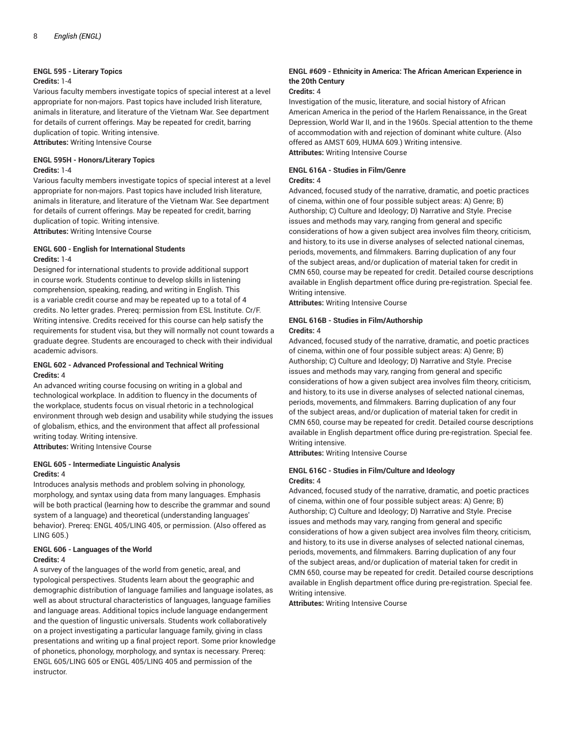#### **ENGL 595 - Literary Topics**

#### **Credits:** 1-4

Various faculty members investigate topics of special interest at a level appropriate for non-majors. Past topics have included Irish literature, animals in literature, and literature of the Vietnam War. See department for details of current offerings. May be repeated for credit, barring duplication of topic. Writing intensive. **Attributes:** Writing Intensive Course

# **ENGL 595H - Honors/Literary Topics**

#### **Credits:** 1-4

Various faculty members investigate topics of special interest at a level appropriate for non-majors. Past topics have included Irish literature, animals in literature, and literature of the Vietnam War. See department for details of current offerings. May be repeated for credit, barring duplication of topic. Writing intensive. **Attributes:** Writing Intensive Course

**ENGL 600 - English for International Students**

#### **Credits:** 1-4

Designed for international students to provide additional support in course work. Students continue to develop skills in listening comprehension, speaking, reading, and writing in English. This is a variable credit course and may be repeated up to a total of 4 credits. No letter grades. Prereq: permission from ESL Institute. Cr/F. Writing intensive. Credits received for this course can help satisfy the requirements for student visa, but they will normally not count towards a graduate degree. Students are encouraged to check with their individual academic advisors.

#### **ENGL 602 - Advanced Professional and Technical Writing Credits:** 4

An advanced writing course focusing on writing in a global and technological workplace. In addition to fluency in the documents of the workplace, students focus on visual rhetoric in a technological environment through web design and usability while studying the issues of globalism, ethics, and the environment that affect all professional writing today. Writing intensive.

**Attributes:** Writing Intensive Course

#### **ENGL 605 - Intermediate Linguistic Analysis Credits:** 4

Introduces analysis methods and problem solving in phonology, morphology, and syntax using data from many languages. Emphasis will be both practical (learning how to describe the grammar and sound system of a language) and theoretical (understanding languages' behavior). Prereq: ENGL 405/LING 405, or permission. (Also offered as LING 605.)

# **ENGL 606 - Languages of the World Credits:** 4

A survey of the languages of the world from genetic, areal, and typological perspectives. Students learn about the geographic and demographic distribution of language families and language isolates, as well as about structural characteristics of languages, language families and language areas. Additional topics include language endangerment and the question of lingustic universals. Students work collaboratively on a project investigating a particular language family, giving in class presentations and writing up a final project report. Some prior knowledge of phonetics, phonology, morphology, and syntax is necessary. Prereq: ENGL 605/LING 605 or ENGL 405/LING 405 and permission of the instructor.

#### **ENGL #609 - Ethnicity in America: The African American Experience in the 20th Century**

#### **Credits:** 4

Investigation of the music, literature, and social history of African American America in the period of the Harlem Renaissance, in the Great Depression, World War II, and in the 1960s. Special attention to the theme of accommodation with and rejection of dominant white culture. (Also offered as AMST 609, HUMA 609.) Writing intensive. **Attributes:** Writing Intensive Course

#### **ENGL 616A - Studies in Film/Genre Credits:** 4

Advanced, focused study of the narrative, dramatic, and poetic practices of cinema, within one of four possible subject areas: A) Genre; B) Authorship; C) Culture and Ideology; D) Narrative and Style. Precise issues and methods may vary, ranging from general and specific considerations of how a given subject area involves film theory, criticism, and history, to its use in diverse analyses of selected national cinemas, periods, movements, and filmmakers. Barring duplication of any four of the subject areas, and/or duplication of material taken for credit in CMN 650, course may be repeated for credit. Detailed course descriptions available in English department office during pre-registration. Special fee. Writing intensive.

**Attributes:** Writing Intensive Course

#### **ENGL 616B - Studies in Film/Authorship Credits:** 4

Advanced, focused study of the narrative, dramatic, and poetic practices of cinema, within one of four possible subject areas: A) Genre; B) Authorship; C) Culture and Ideology; D) Narrative and Style. Precise issues and methods may vary, ranging from general and specific considerations of how a given subject area involves film theory, criticism, and history, to its use in diverse analyses of selected national cinemas, periods, movements, and filmmakers. Barring duplication of any four of the subject areas, and/or duplication of material taken for credit in CMN 650, course may be repeated for credit. Detailed course descriptions available in English department office during pre-registration. Special fee. Writing intensive.

**Attributes:** Writing Intensive Course

#### **ENGL 616C - Studies in Film/Culture and Ideology Credits:** 4

Advanced, focused study of the narrative, dramatic, and poetic practices of cinema, within one of four possible subject areas: A) Genre; B) Authorship; C) Culture and Ideology; D) Narrative and Style. Precise issues and methods may vary, ranging from general and specific considerations of how a given subject area involves film theory, criticism, and history, to its use in diverse analyses of selected national cinemas, periods, movements, and filmmakers. Barring duplication of any four of the subject areas, and/or duplication of material taken for credit in CMN 650, course may be repeated for credit. Detailed course descriptions available in English department office during pre-registration. Special fee. Writing intensive.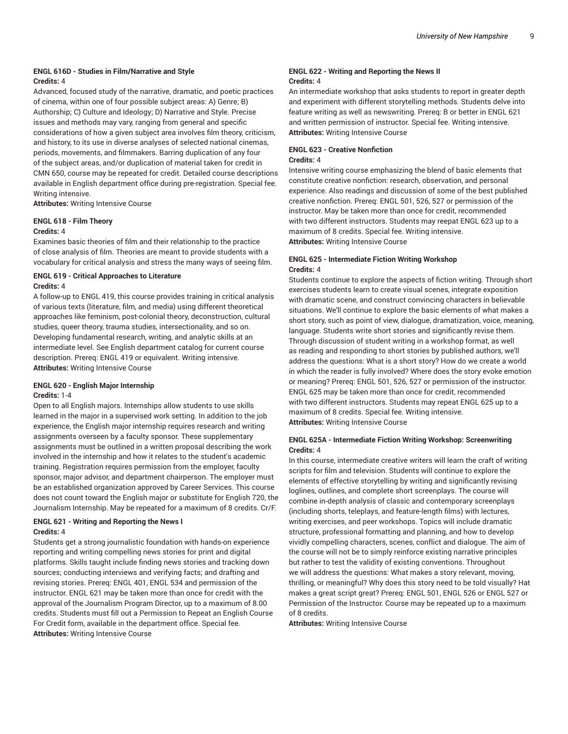### **ENGL 616D - Studies in Film/Narrative and Style Credits:** 4

Advanced, focused study of the narrative, dramatic, and poetic practices of cinema, within one of four possible subject areas: A) Genre; B) Authorship; C) Culture and Ideology; D) Narrative and Style. Precise issues and methods may vary, ranging from general and specific considerations of how a given subject area involves film theory, criticism, and history, to its use in diverse analyses of selected national cinemas, periods, movements, and filmmakers. Barring duplication of any four of the subject areas, and/or duplication of material taken for credit in CMN 650, course may be repeated for credit. Detailed course descriptions available in English department office during pre-registration. Special fee. Writing intensive.

**Attributes:** Writing Intensive Course

#### **ENGL 618 - Film Theory**

#### **Credits:** 4

Examines basic theories of film and their relationship to the practice of close analysis of film. Theories are meant to provide students with a vocabulary for critical analysis and stress the many ways of seeing film.

# **ENGL 619 - Critical Approaches to Literature Credits:** 4

A follow-up to ENGL 419, this course provides training in critical analysis of various texts (literature, film, and media) using different theoretical approaches like feminism, post-colonial theory, deconstruction, cultural studies, queer theory, trauma studies, intersectionality, and so on. Developing fundamental research, writing, and analytic skills at an intermediate level. See English department catalog for current course description. Prereq: ENGL 419 or equivalent. Writing intensive. **Attributes:** Writing Intensive Course

# **ENGL 620 - English Major Internship**

#### **Credits:** 1-4

Open to all English majors. Internships allow students to use skills learned in the major in a supervised work setting. In addition to the job experience, the English major internship requires research and writing assignments overseen by a faculty sponsor. These supplementary assignments must be outlined in a written proposal describing the work involved in the internship and how it relates to the student's academic training. Registration requires permission from the employer, faculty sponsor, major advisor, and department chairperson. The employer must be an established organization approved by Career Services. This course does not count toward the English major or substitute for English 720, the Journalism Internship. May be repeated for a maximum of 8 credits. Cr/F.

# **ENGL 621 - Writing and Reporting the News I Credits:** 4

Students get a strong journalistic foundation with hands-on experience reporting and writing compelling news stories for print and digital platforms. Skills taught include finding news stories and tracking down sources; conducting interviews and verifying facts; and drafting and revising stories. Prereq: ENGL 401, ENGL 534 and permission of the instructor. ENGL 621 may be taken more than once for credit with the approval of the Journalism Program Director, up to a maximum of 8.00 credits. Students must fill out a Permission to Repeat an English Course For Credit form, available in the department office. Special fee. **Attributes:** Writing Intensive Course

#### **ENGL 622 - Writing and Reporting the News II Credits:** 4

An intermediate workshop that asks students to report in greater depth and experiment with different storytelling methods. Students delve into feature writing as well as newswriting. Prereq: B or better in ENGL 621 and written permission of instructor. Special fee. Writing intensive. **Attributes:** Writing Intensive Course

#### **ENGL 623 - Creative Nonfiction Credits:** 4

Intensive writing course emphasizing the blend of basic elements that constitute creative nonfiction: research, observation, and personal experience. Also readings and discussion of some of the best published creative nonfiction. Prereq: ENGL 501, 526, 527 or permission of the instructor. May be taken more than once for credit, recommended with two different instructors. Students may reepat ENGL 623 up to a maximum of 8 credits. Special fee. Writing intensive. **Attributes:** Writing Intensive Course

#### **ENGL 625 - Intermediate Fiction Writing Workshop Credits:** 4

Students continue to explore the aspects of fiction writing. Through short exercises students learn to create visual scenes, integrate exposition with dramatic scene, and construct convincing characters in believable situations. We'll continue to explore the basic elements of what makes a short story, such as point of view, dialogue, dramatization, voice, meaning, language. Students write short stories and significantly revise them. Through discussion of student writing in a workshop format, as well as reading and responding to short stories by published authors, we'll address the questions: What is a short story? How do we create a world in which the reader is fully involved? Where does the story evoke emotion or meaning? Prereq: ENGL 501, 526, 527 or permission of the instructor. ENGL 625 may be taken more than once for credit, recommended with two different instructors. Students may repeat ENGL 625 up to a maximum of 8 credits. Special fee. Writing intensive. **Attributes:** Writing Intensive Course

#### **ENGL 625A - Intermediate Fiction Writing Workshop: Screenwriting Credits:** 4

In this course, intermediate creative writers will learn the craft of writing scripts for film and television. Students will continue to explore the elements of effective storytelling by writing and significantly revising loglines, outlines, and complete short screenplays. The course will combine in-depth analysis of classic and contemporary screenplays (including shorts, teleplays, and feature-length films) with lectures, writing exercises, and peer workshops. Topics will include dramatic structure, professional formatting and planning, and how to develop vividly compelling characters, scenes, conflict and dialogue. The aim of the course will not be to simply reinforce existing narrative principles but rather to test the validity of existing conventions. Throughout we will address the questions: What makes a story relevant, moving, thrilling, or meaningful? Why does this story need to be told visually? Hat makes a great script great? Prereq: ENGL 501, ENGL 526 or ENGL 527 or Permission of the Instructor. Course may be repeated up to a maximum of 8 credits.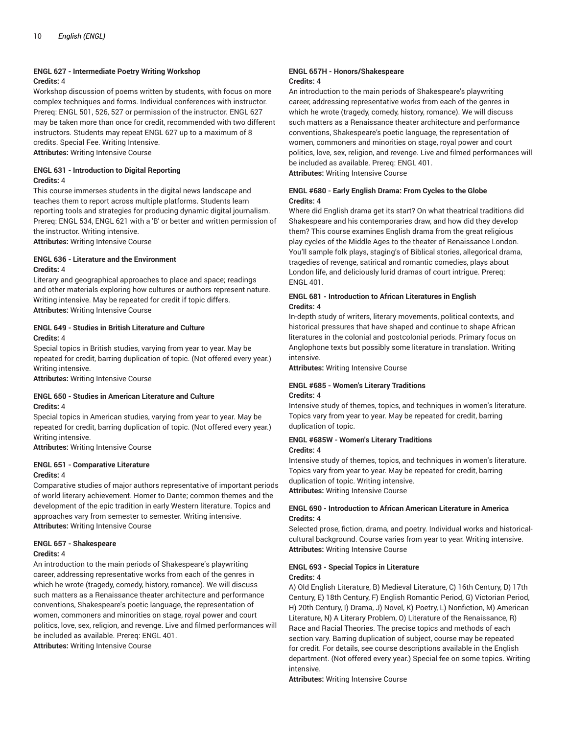# **ENGL 627 - Intermediate Poetry Writing Workshop Credits:** 4

Workshop discussion of poems written by students, with focus on more complex techniques and forms. Individual conferences with instructor. Prereq: ENGL 501, 526, 527 or permission of the instructor. ENGL 627 may be taken more than once for credit, recommended with two different instructors. Students may repeat ENGL 627 up to a maximum of 8 credits. Special Fee. Writing Intensive.

**Attributes:** Writing Intensive Course

# **ENGL 631 - Introduction to Digital Reporting Credits:** 4

This course immerses students in the digital news landscape and teaches them to report across multiple platforms. Students learn reporting tools and strategies for producing dynamic digital journalism. Prereq: ENGL 534, ENGL 621 with a 'B' or better and written permission of the instructor. Writing intensive.

**Attributes:** Writing Intensive Course

# **ENGL 636 - Literature and the Environment Credits:** 4

Literary and geographical approaches to place and space; readings and other materials exploring how cultures or authors represent nature. Writing intensive. May be repeated for credit if topic differs. **Attributes:** Writing Intensive Course

# **ENGL 649 - Studies in British Literature and Culture Credits:** 4

Special topics in British studies, varying from year to year. May be repeated for credit, barring duplication of topic. (Not offered every year.) Writing intensive.

**Attributes:** Writing Intensive Course

# **ENGL 650 - Studies in American Literature and Culture Credits:** 4

Special topics in American studies, varying from year to year. May be repeated for credit, barring duplication of topic. (Not offered every year.) Writing intensive.

**Attributes:** Writing Intensive Course

# **ENGL 651 - Comparative Literature**

#### **Credits:** 4

Comparative studies of major authors representative of important periods of world literary achievement. Homer to Dante; common themes and the development of the epic tradition in early Western literature. Topics and approaches vary from semester to semester. Writing intensive. **Attributes:** Writing Intensive Course

# **ENGL 657 - Shakespeare**

#### **Credits:** 4

An introduction to the main periods of Shakespeare's playwriting career, addressing representative works from each of the genres in which he wrote (tragedy, comedy, history, romance). We will discuss such matters as a Renaissance theater architecture and performance conventions, Shakespeare's poetic language, the representation of women, commoners and minorities on stage, royal power and court politics, love, sex, religion, and revenge. Live and filmed performances will be included as available. Prereq: ENGL 401.

**Attributes:** Writing Intensive Course

#### **ENGL 657H - Honors/Shakespeare Credits:** 4

An introduction to the main periods of Shakespeare's playwriting career, addressing representative works from each of the genres in which he wrote (tragedy, comedy, history, romance). We will discuss such matters as a Renaissance theater architecture and performance conventions, Shakespeare's poetic language, the representation of women, commoners and minorities on stage, royal power and court politics, love, sex, religion, and revenge. Live and filmed performances will be included as available. Prereq: ENGL 401. **Attributes:** Writing Intensive Course

**ENGL #680 - Early English Drama: From Cycles to the Globe Credits:** 4

Where did English drama get its start? On what theatrical traditions did Shakespeare and his contemporaries draw, and how did they develop them? This course examines English drama from the great religious play cycles of the Middle Ages to the theater of Renaissance London. You'll sample folk plays, staging's of Biblical stories, allegorical drama, tragedies of revenge, satirical and romantic comedies, plays about London life, and deliciously lurid dramas of court intrigue. Prereq: ENGL 401.

#### **ENGL 681 - Introduction to African Literatures in English Credits:** 4

In-depth study of writers, literary movements, political contexts, and historical pressures that have shaped and continue to shape African literatures in the colonial and postcolonial periods. Primary focus on Anglophone texts but possibly some literature in translation. Writing intensive.

**Attributes:** Writing Intensive Course

# **ENGL #685 - Women's Literary Traditions**

#### **Credits:** 4

Intensive study of themes, topics, and techniques in women's literature. Topics vary from year to year. May be repeated for credit, barring duplication of topic.

#### **ENGL #685W - Women's Literary Traditions Credits:** 4

Intensive study of themes, topics, and techniques in women's literature. Topics vary from year to year. May be repeated for credit, barring duplication of topic. Writing intensive. **Attributes:** Writing Intensive Course

# **ENGL 690 - Introduction to African American Literature in America Credits:** 4

Selected prose, fiction, drama, and poetry. Individual works and historicalcultural background. Course varies from year to year. Writing intensive. **Attributes:** Writing Intensive Course

#### **ENGL 693 - Special Topics in Literature Credits:** 4

A) Old English Literature, B) Medieval Literature, C) 16th Century, D) 17th Century, E) 18th Century, F) English Romantic Period, G) Victorian Period, H) 20th Century, I) Drama, J) Novel, K) Poetry, L) Nonfiction, M) American Literature, N) A Literary Problem, O) Literature of the Renaissance, R) Race and Racial Theories. The precise topics and methods of each section vary. Barring duplication of subject, course may be repeated for credit. For details, see course descriptions available in the English department. (Not offered every year.) Special fee on some topics. Writing intensive.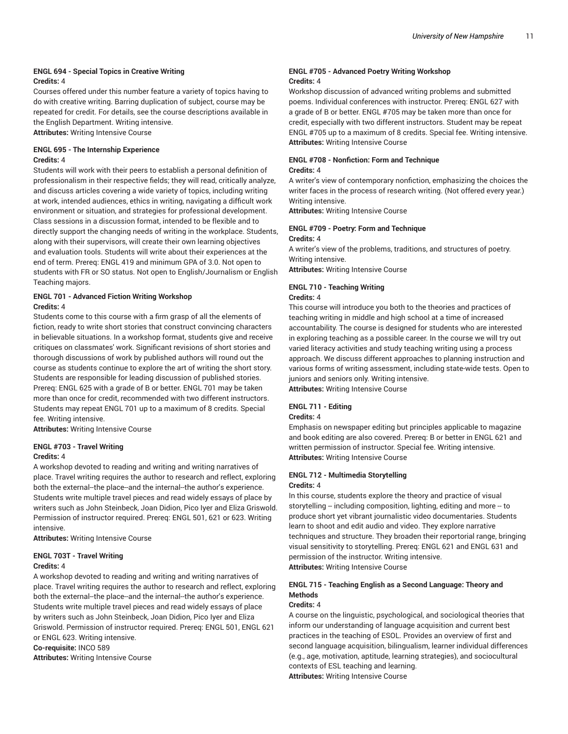#### **ENGL 694 - Special Topics in Creative Writing Credits:** 4

Courses offered under this number feature a variety of topics having to do with creative writing. Barring duplication of subject, course may be repeated for credit. For details, see the course descriptions available in the English Department. Writing intensive. **Attributes:** Writing Intensive Course

# **ENGL 695 - The Internship Experience Credits:** 4

Students will work with their peers to establish a personal definition of professionalism in their respective fields; they will read, critically analyze, and discuss articles covering a wide variety of topics, including writing at work, intended audiences, ethics in writing, navigating a difficult work environment or situation, and strategies for professional development. Class sessions in a discussion format, intended to be flexible and to directly support the changing needs of writing in the workplace. Students, along with their supervisors, will create their own learning objectives and evaluation tools. Students will write about their experiences at the end of term. Prereq: ENGL 419 and minimum GPA of 3.0. Not open to students with FR or SO status. Not open to English/Journalism or English Teaching majors.

# **ENGL 701 - Advanced Fiction Writing Workshop Credits:** 4

Students come to this course with a firm grasp of all the elements of fiction, ready to write short stories that construct convincing characters in believable situations. In a workshop format, students give and receive critiques on classmates' work. Significant revisions of short stories and thorough discussions of work by published authors will round out the course as students continue to explore the art of writing the short story. Students are responsible for leading discussion of published stories. Prereq: ENGL 625 with a grade of B or better. ENGL 701 may be taken more than once for credit, recommended with two different instructors. Students may repeat ENGL 701 up to a maximum of 8 credits. Special fee. Writing intensive.

**Attributes:** Writing Intensive Course

# **ENGL #703 - Travel Writing**

#### **Credits:** 4

A workshop devoted to reading and writing and writing narratives of place. Travel writing requires the author to research and reflect, exploring both the external--the place--and the internal--the author's experience. Students write multiple travel pieces and read widely essays of place by writers such as John Steinbeck, Joan Didion, Pico Iyer and Eliza Griswold. Permission of instructor required. Prereq: ENGL 501, 621 or 623. Writing intensive.

**Attributes:** Writing Intensive Course

#### **ENGL 703T - Travel Writing Credits:** 4

A workshop devoted to reading and writing and writing narratives of place. Travel writing requires the author to research and reflect, exploring both the external--the place--and the internal--the author's experience. Students write multiple travel pieces and read widely essays of place by writers such as John Steinbeck, Joan Didion, Pico Iyer and Eliza Griswold. Permission of instructor required. Prereq: ENGL 501, ENGL 621 or ENGL 623. Writing intensive.

**Co-requisite:** INCO 589

**Attributes:** Writing Intensive Course

### **ENGL #705 - Advanced Poetry Writing Workshop Credits:** 4

Workshop discussion of advanced writing problems and submitted poems. Individual conferences with instructor. Prereq: ENGL 627 with a grade of B or better. ENGL #705 may be taken more than once for credit, especially with two different instructors. Student may be repeat ENGL #705 up to a maximum of 8 credits. Special fee. Writing intensive. **Attributes:** Writing Intensive Course

# **ENGL #708 - Nonfiction: Form and Technique Credits:** 4

A writer's view of contemporary nonfiction, emphasizing the choices the writer faces in the process of research writing. (Not offered every year.) Writing intensive.

**Attributes:** Writing Intensive Course

# **ENGL #709 - Poetry: Form and Technique**

#### **Credits:** 4

A writer's view of the problems, traditions, and structures of poetry. Writing intensive.

**Attributes:** Writing Intensive Course

# **ENGL 710 - Teaching Writing**

#### **Credits:** 4

This course will introduce you both to the theories and practices of teaching writing in middle and high school at a time of increased accountability. The course is designed for students who are interested in exploring teaching as a possible career. In the course we will try out varied literacy activities and study teaching writing using a process approach. We discuss different approaches to planning instruction and various forms of writing assessment, including state-wide tests. Open to juniors and seniors only. Writing intensive. **Attributes:** Writing Intensive Course

# **ENGL 711 - Editing**

# **Credits:** 4

Emphasis on newspaper editing but principles applicable to magazine and book editing are also covered. Prereq: B or better in ENGL 621 and written permission of instructor. Special fee. Writing intensive. **Attributes:** Writing Intensive Course

# **ENGL 712 - Multimedia Storytelling Credits:** 4

In this course, students explore the theory and practice of visual storytelling -- including composition, lighting, editing and more -- to produce short yet vibrant journalistic video documentaries. Students learn to shoot and edit audio and video. They explore narrative techniques and structure. They broaden their reportorial range, bringing visual sensitivity to storytelling. Prereq: ENGL 621 and ENGL 631 and permission of the instructor. Writing intensive. **Attributes:** Writing Intensive Course

# **ENGL 715 - Teaching English as a Second Language: Theory and Methods**

#### **Credits:** 4

A course on the linguistic, psychological, and sociological theories that inform our understanding of language acquisition and current best practices in the teaching of ESOL. Provides an overview of first and second language acquisition, bilingualism, learner individual differences (e.g., age, motivation, aptitude, learning strategies), and sociocultural contexts of ESL teaching and learning. **Attributes:** Writing Intensive Course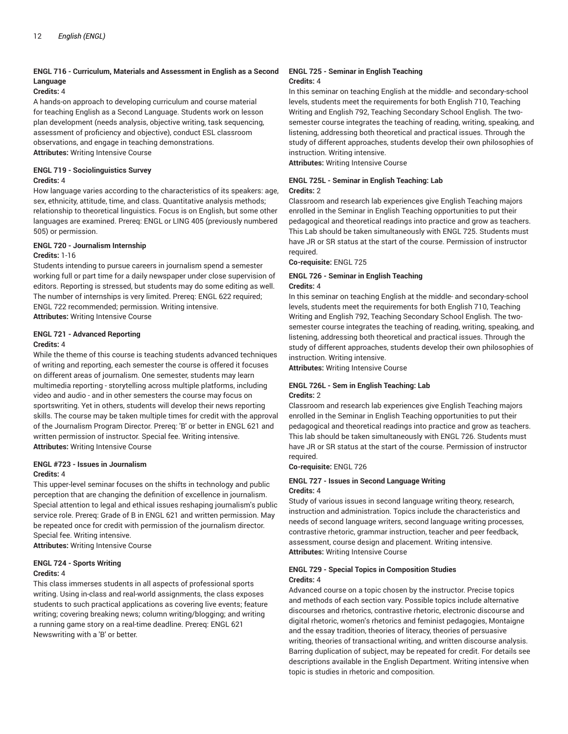# **ENGL 716 - Curriculum, Materials and Assessment in English as a Second Language**

#### **Credits:** 4

A hands-on approach to developing curriculum and course material for teaching English as a Second Language. Students work on lesson plan development (needs analysis, objective writing, task sequencing, assessment of proficiency and objective), conduct ESL classroom observations, and engage in teaching demonstrations.

**Attributes:** Writing Intensive Course

#### **ENGL 719 - Sociolinguistics Survey Credits:** 4

How language varies according to the characteristics of its speakers: age, sex, ethnicity, attitude, time, and class. Quantitative analysis methods; relationship to theoretical linguistics. Focus is on English, but some other languages are examined. Prereq: ENGL or LING 405 (previously numbered 505) or permission.

# **ENGL 720 - Journalism Internship**

#### **Credits:** 1-16

Students intending to pursue careers in journalism spend a semester working full or part time for a daily newspaper under close supervision of editors. Reporting is stressed, but students may do some editing as well. The number of internships is very limited. Prereq: ENGL 622 required; ENGL 722 recommended; permission. Writing intensive. **Attributes:** Writing Intensive Course

# **ENGL 721 - Advanced Reporting**

#### **Credits:** 4

While the theme of this course is teaching students advanced techniques of writing and reporting, each semester the course is offered it focuses on different areas of journalism. One semester, students may learn multimedia reporting - storytelling across multiple platforms, including video and audio - and in other semesters the course may focus on sportswriting. Yet in others, students will develop their news reporting skills. The course may be taken multiple times for credit with the approval of the Journalism Program Director. Prereq: 'B' or better in ENGL 621 and written permission of instructor. Special fee. Writing intensive. **Attributes:** Writing Intensive Course

#### **ENGL #723 - Issues in Journalism Credits:** 4

This upper-level seminar focuses on the shifts in technology and public perception that are changing the definition of excellence in journalism. Special attention to legal and ethical issues reshaping journalism's public service role. Prereq: Grade of B in ENGL 621 and written permission. May be repeated once for credit with permission of the journalism director. Special fee. Writing intensive.

**Attributes:** Writing Intensive Course

# **ENGL 724 - Sports Writing Credits:** 4

This class immerses students in all aspects of professional sports writing. Using in-class and real-world assignments, the class exposes students to such practical applications as covering live events; feature writing; covering breaking news; column writing/blogging; and writing a running game story on a real-time deadline. Prereq: ENGL 621 Newswriting with a 'B' or better.

#### **ENGL 725 - Seminar in English Teaching Credits:** 4

In this seminar on teaching English at the middle- and secondary-school levels, students meet the requirements for both English 710, Teaching Writing and English 792, Teaching Secondary School English. The twosemester course integrates the teaching of reading, writing, speaking, and listening, addressing both theoretical and practical issues. Through the study of different approaches, students develop their own philosophies of instruction. Writing intensive.

**Attributes:** Writing Intensive Course

#### **ENGL 725L - Seminar in English Teaching: Lab Credits:** 2

Classroom and research lab experiences give English Teaching majors enrolled in the Seminar in English Teaching opportunities to put their pedagogical and theoretical readings into practice and grow as teachers. This Lab should be taken simultaneously with ENGL 725. Students must have JR or SR status at the start of the course. Permission of instructor required.

**Co-requisite:** ENGL 725

#### **ENGL 726 - Seminar in English Teaching Credits:** 4

In this seminar on teaching English at the middle- and secondary-school levels, students meet the requirements for both English 710, Teaching Writing and English 792, Teaching Secondary School English. The twosemester course integrates the teaching of reading, writing, speaking, and listening, addressing both theoretical and practical issues. Through the study of different approaches, students develop their own philosophies of instruction. Writing intensive.

**Attributes:** Writing Intensive Course

# **ENGL 726L - Sem in English Teaching: Lab Credits:** 2

Classroom and research lab experiences give English Teaching majors enrolled in the Seminar in English Teaching opportunities to put their pedagogical and theoretical readings into practice and grow as teachers. This lab should be taken simultaneously with ENGL 726. Students must have JR or SR status at the start of the course. Permission of instructor required.

**Co-requisite:** ENGL 726

# **ENGL 727 - Issues in Second Language Writing Credits:** 4

Study of various issues in second language writing theory, research, instruction and administration. Topics include the characteristics and needs of second language writers, second language writing processes, contrastive rhetoric, grammar instruction, teacher and peer feedback, assessment, course design and placement. Writing intensive. **Attributes:** Writing Intensive Course

# **ENGL 729 - Special Topics in Composition Studies Credits:** 4

Advanced course on a topic chosen by the instructor. Precise topics and methods of each section vary. Possible topics include alternative discourses and rhetorics, contrastive rhetoric, electronic discourse and digital rhetoric, women's rhetorics and feminist pedagogies, Montaigne and the essay tradition, theories of literacy, theories of persuasive writing, theories of transactional writing, and written discourse analysis. Barring duplication of subject, may be repeated for credit. For details see descriptions available in the English Department. Writing intensive when topic is studies in rhetoric and composition.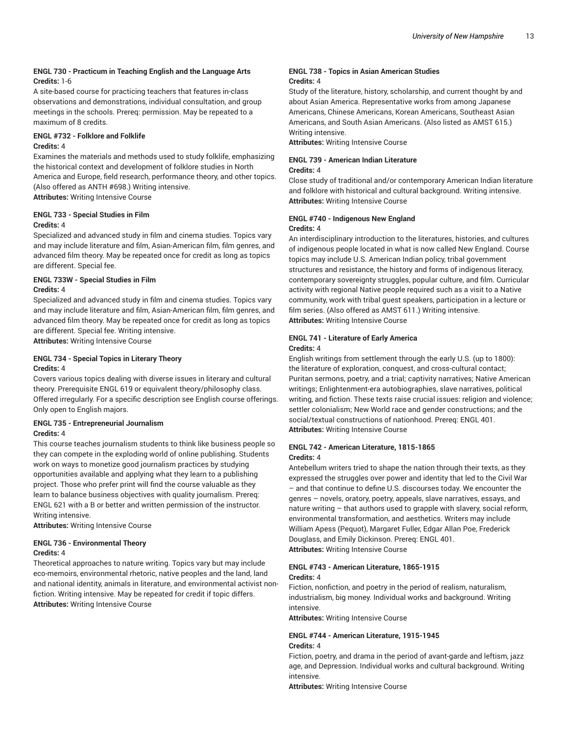# **ENGL 730 - Practicum in Teaching English and the Language Arts Credits:** 1-6

A site-based course for practicing teachers that features in-class observations and demonstrations, individual consultation, and group meetings in the schools. Prereq: permission. May be repeated to a maximum of 8 credits.

# **ENGL #732 - Folklore and Folklife Credits:** 4

Examines the materials and methods used to study folklife, emphasizing the historical context and development of folklore studies in North America and Europe, field research, performance theory, and other topics. (Also offered as ANTH #698.) Writing intensive.

**Attributes:** Writing Intensive Course

# **ENGL 733 - Special Studies in Film**

# **Credits:** 4

Specialized and advanced study in film and cinema studies. Topics vary and may include literature and film, Asian-American film, film genres, and advanced film theory. May be repeated once for credit as long as topics are different. Special fee.

# **ENGL 733W - Special Studies in Film**

#### **Credits:** 4

Specialized and advanced study in film and cinema studies. Topics vary and may include literature and film, Asian-American film, film genres, and advanced film theory. May be repeated once for credit as long as topics are different. Special fee. Writing intensive.

**Attributes:** Writing Intensive Course

#### **ENGL 734 - Special Topics in Literary Theory Credits:** 4

Covers various topics dealing with diverse issues in literary and cultural theory. Prerequisite ENGL 619 or equivalent theory/philosophy class. Offered irregularly. For a specific description see English course offerings. Only open to English majors.

#### **ENGL 735 - Entrepreneurial Journalism Credits:** 4

This course teaches journalism students to think like business people so they can compete in the exploding world of online publishing. Students work on ways to monetize good journalism practices by studying opportunities available and applying what they learn to a publishing project. Those who prefer print will find the course valuable as they learn to balance business objectives with quality journalism. Prereq: ENGL 621 with a B or better and written permission of the instructor. Writing intensive.

**Attributes:** Writing Intensive Course

# **ENGL 736 - Environmental Theory**

#### **Credits:** 4

Theoretical approaches to nature writing. Topics vary but may include eco-memoirs, environmental rhetoric, native peoples and the land, land and national identity, animals in literature, and environmental activist nonfiction. Writing intensive. May be repeated for credit if topic differs. **Attributes:** Writing Intensive Course

#### **ENGL 738 - Topics in Asian American Studies Credits:** 4

Study of the literature, history, scholarship, and current thought by and about Asian America. Representative works from among Japanese Americans, Chinese Americans, Korean Americans, Southeast Asian Americans, and South Asian Americans. (Also listed as AMST 615.) Writing intensive.

**Attributes:** Writing Intensive Course

# **ENGL 739 - American Indian Literature**

# **Credits:** 4

Close study of traditional and/or contemporary American Indian literature and folklore with historical and cultural background. Writing intensive. **Attributes:** Writing Intensive Course

# **ENGL #740 - Indigenous New England**

#### **Credits:** 4

An interdisciplinary introduction to the literatures, histories, and cultures of indigenous people located in what is now called New England. Course topics may include U.S. American Indian policy, tribal government structures and resistance, the history and forms of indigenous literacy, contemporary sovereignty struggles, popular culture, and film. Curricular activity with regional Native people required such as a visit to a Native community, work with tribal guest speakers, participation in a lecture or film series. (Also offered as AMST 611.) Writing intensive. **Attributes:** Writing Intensive Course

# **ENGL 741 - Literature of Early America**

#### **Credits:** 4

English writings from settlement through the early U.S. (up to 1800): the literature of exploration, conquest, and cross-cultural contact; Puritan sermons, poetry, and a trial; captivity narratives; Native American writings; Enlightenment-era autobiographies, slave narratives, political writing, and fiction. These texts raise crucial issues: religion and violence; settler colonialism; New World race and gender constructions; and the social/textual constructions of nationhood. Prereq: ENGL 401. **Attributes:** Writing Intensive Course

#### **ENGL 742 - American Literature, 1815-1865 Credits:** 4

Antebellum writers tried to shape the nation through their texts, as they expressed the struggles over power and identity that led to the Civil War – and that continue to define U.S. discourses today. We encounter the genres – novels, oratory, poetry, appeals, slave narratives, essays, and nature writing – that authors used to grapple with slavery, social reform, environmental transformation, and aesthetics. Writers may include William Apess (Pequot), Margaret Fuller, Edgar Allan Poe, Frederick Douglass, and Emily Dickinson. Prereq: ENGL 401. **Attributes:** Writing Intensive Course

# **ENGL #743 - American Literature, 1865-1915 Credits:** 4

Fiction, nonfiction, and poetry in the period of realism, naturalism, industrialism, big money. Individual works and background. Writing intensive.

**Attributes:** Writing Intensive Course

#### **ENGL #744 - American Literature, 1915-1945 Credits:** 4

Fiction, poetry, and drama in the period of avant-garde and leftism, jazz age, and Depression. Individual works and cultural background. Writing intensive.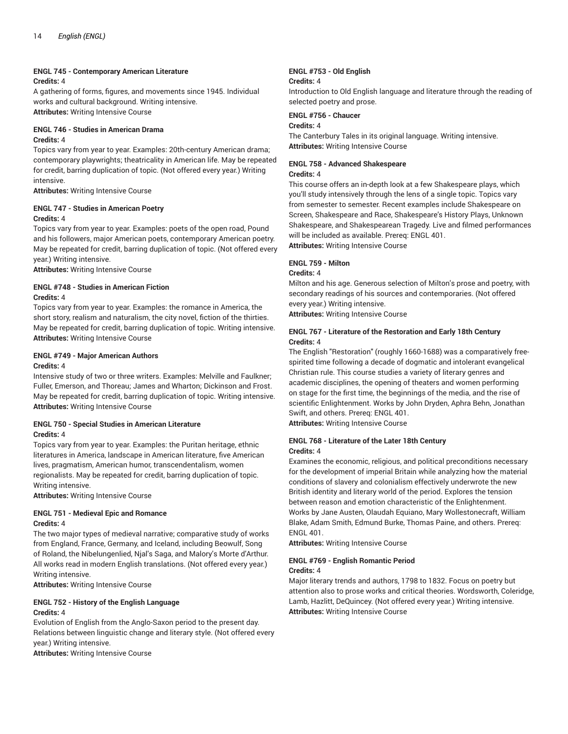#### **ENGL 745 - Contemporary American Literature Credits:** 4

A gathering of forms, figures, and movements since 1945. Individual works and cultural background. Writing intensive. **Attributes:** Writing Intensive Course

# **ENGL 746 - Studies in American Drama**

#### **Credits:** 4

Topics vary from year to year. Examples: 20th-century American drama; contemporary playwrights; theatricality in American life. May be repeated for credit, barring duplication of topic. (Not offered every year.) Writing intensive.

**Attributes:** Writing Intensive Course

# **ENGL 747 - Studies in American Poetry**

# **Credits:** 4

Topics vary from year to year. Examples: poets of the open road, Pound and his followers, major American poets, contemporary American poetry. May be repeated for credit, barring duplication of topic. (Not offered every year.) Writing intensive.

**Attributes:** Writing Intensive Course

### **ENGL #748 - Studies in American Fiction Credits:** 4

Topics vary from year to year. Examples: the romance in America, the short story, realism and naturalism, the city novel, fiction of the thirties. May be repeated for credit, barring duplication of topic. Writing intensive. **Attributes:** Writing Intensive Course

#### **ENGL #749 - Major American Authors Credits:** 4

Intensive study of two or three writers. Examples: Melville and Faulkner; Fuller, Emerson, and Thoreau; James and Wharton; Dickinson and Frost. May be repeated for credit, barring duplication of topic. Writing intensive. **Attributes:** Writing Intensive Course

# **ENGL 750 - Special Studies in American Literature Credits:** 4

Topics vary from year to year. Examples: the Puritan heritage, ethnic literatures in America, landscape in American literature, five American lives, pragmatism, American humor, transcendentalism, women regionalists. May be repeated for credit, barring duplication of topic. Writing intensive.

**Attributes:** Writing Intensive Course

#### **ENGL 751 - Medieval Epic and Romance Credits:** 4

The two major types of medieval narrative; comparative study of works from England, France, Germany, and Iceland, including Beowulf, Song of Roland, the Nibelungenlied, Njal's Saga, and Malory's Morte d'Arthur. All works read in modern English translations. (Not offered every year.) Writing intensive.

**Attributes:** Writing Intensive Course

#### **ENGL 752 - History of the English Language Credits:** 4

# Evolution of English from the Anglo-Saxon period to the present day. Relations between linguistic change and literary style. (Not offered every

year.) Writing intensive.

**Attributes:** Writing Intensive Course

#### **ENGL #753 - Old English Credits:** 4

Introduction to Old English language and literature through the reading of selected poetry and prose.

# **ENGL #756 - Chaucer**

# **Credits:** 4

The Canterbury Tales in its original language. Writing intensive. **Attributes:** Writing Intensive Course

#### **ENGL 758 - Advanced Shakespeare Credits:** 4

This course offers an in-depth look at a few Shakespeare plays, which you'll study intensively through the lens of a single topic. Topics vary from semester to semester. Recent examples include Shakespeare on Screen, Shakespeare and Race, Shakespeare's History Plays, Unknown Shakespeare, and Shakespearean Tragedy. Live and filmed performances will be included as available. Prereq: ENGL 401.

**Attributes:** Writing Intensive Course

# **ENGL 759 - Milton**

# **Credits:** 4

Milton and his age. Generous selection of Milton's prose and poetry, with secondary readings of his sources and contemporaries. (Not offered every year.) Writing intensive.

**Attributes:** Writing Intensive Course

### **ENGL 767 - Literature of the Restoration and Early 18th Century Credits:** 4

The English "Restoration" (roughly 1660-1688) was a comparatively freespirited time following a decade of dogmatic and intolerant evangelical Christian rule. This course studies a variety of literary genres and academic disciplines, the opening of theaters and women performing on stage for the first time, the beginnings of the media, and the rise of scientific Enlightenment. Works by John Dryden, Aphra Behn, Jonathan Swift, and others. Prereq: ENGL 401.

**Attributes:** Writing Intensive Course

#### **ENGL 768 - Literature of the Later 18th Century Credits:** 4

Examines the economic, religious, and political preconditions necessary for the development of imperial Britain while analyzing how the material conditions of slavery and colonialism effectively underwrote the new British identity and literary world of the period. Explores the tension between reason and emotion characteristic of the Enlightenment. Works by Jane Austen, Olaudah Equiano, Mary Wollestonecraft, William Blake, Adam Smith, Edmund Burke, Thomas Paine, and others. Prereq: ENGL 401.

**Attributes:** Writing Intensive Course

#### **ENGL #769 - English Romantic Period Credits:** 4

Major literary trends and authors, 1798 to 1832. Focus on poetry but attention also to prose works and critical theories. Wordsworth, Coleridge, Lamb, Hazlitt, DeQuincey. (Not offered every year.) Writing intensive. **Attributes:** Writing Intensive Course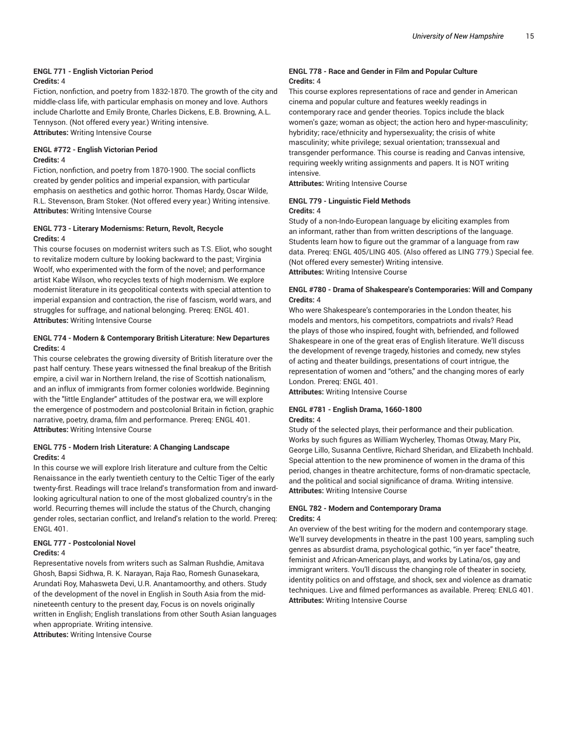#### **ENGL 771 - English Victorian Period Credits:** 4

Fiction, nonfiction, and poetry from 1832-1870. The growth of the city and middle-class life, with particular emphasis on money and love. Authors include Charlotte and Emily Bronte, Charles Dickens, E.B. Browning, A.L. Tennyson. (Not offered every year.) Writing intensive. **Attributes:** Writing Intensive Course

# **ENGL #772 - English Victorian Period Credits:** 4

Fiction, nonfiction, and poetry from 1870-1900. The social conflicts created by gender politics and imperial expansion, with particular emphasis on aesthetics and gothic horror. Thomas Hardy, Oscar Wilde, R.L. Stevenson, Bram Stoker. (Not offered every year.) Writing intensive. **Attributes:** Writing Intensive Course

# **ENGL 773 - Literary Modernisms: Return, Revolt, Recycle Credits:** 4

This course focuses on modernist writers such as T.S. Eliot, who sought to revitalize modern culture by looking backward to the past; Virginia Woolf, who experimented with the form of the novel; and performance artist Kabe Wilson, who recycles texts of high modernism. We explore modernist literature in its geopolitical contexts with special attention to imperial expansion and contraction, the rise of fascism, world wars, and struggles for suffrage, and national belonging. Prereq: ENGL 401. **Attributes:** Writing Intensive Course

# **ENGL 774 - Modern & Contemporary British Literature: New Departures Credits:** 4

This course celebrates the growing diversity of British literature over the past half century. These years witnessed the final breakup of the British empire, a civil war in Northern Ireland, the rise of Scottish nationalism, and an influx of immigrants from former colonies worldwide. Beginning with the "little Englander" attitudes of the postwar era, we will explore the emergence of postmodern and postcolonial Britain in fiction, graphic narrative, poetry, drama, film and performance. Prereq: ENGL 401. **Attributes:** Writing Intensive Course

# **ENGL 775 - Modern Irish Literature: A Changing Landscape Credits:** 4

In this course we will explore Irish literature and culture from the Celtic Renaissance in the early twentieth century to the Celtic Tiger of the early twenty-first. Readings will trace Ireland's transformation from and inwardlooking agricultural nation to one of the most globalized country's in the world. Recurring themes will include the status of the Church, changing gender roles, sectarian conflict, and Ireland's relation to the world. Prereq: ENGL 401.

# **ENGL 777 - Postcolonial Novel**

# **Credits:** 4

Representative novels from writers such as Salman Rushdie, Amitava Ghosh, Bapsi Sidhwa, R. K. Narayan, Raja Rao, Romesh Gunasekara, Arundati Roy, Mahasweta Devi, U.R. Anantamoorthy, and others. Study of the development of the novel in English in South Asia from the midnineteenth century to the present day, Focus is on novels originally written in English; English translations from other South Asian languages when appropriate. Writing intensive.

**Attributes:** Writing Intensive Course

# **ENGL 778 - Race and Gender in Film and Popular Culture Credits:** 4

This course explores representations of race and gender in American cinema and popular culture and features weekly readings in contemporary race and gender theories. Topics include the black women's gaze; woman as object; the action hero and hyper-masculinity; hybridity; race/ethnicity and hypersexuality; the crisis of white masculinity; white privilege; sexual orientation; transsexual and transgender performance. This course is reading and Canvas intensive, requiring weekly writing assignments and papers. It is NOT writing intensive.

**Attributes:** Writing Intensive Course

#### **ENGL 779 - Linguistic Field Methods Credits:** 4

Study of a non-Indo-European language by eliciting examples from an informant, rather than from written descriptions of the language. Students learn how to figure out the grammar of a language from raw data. Prereq: ENGL 405/LING 405. (Also offered as LING 779.) Special fee. (Not offered every semester) Writing intensive. **Attributes:** Writing Intensive Course

### **ENGL #780 - Drama of Shakespeare's Contemporaries: Will and Company Credits:** 4

Who were Shakespeare's contemporaries in the London theater, his models and mentors, his competitors, compatriots and rivals? Read the plays of those who inspired, fought with, befriended, and followed Shakespeare in one of the great eras of English literature. We'll discuss the development of revenge tragedy, histories and comedy, new styles of acting and theater buildings, presentations of court intrigue, the representation of women and "others," and the changing mores of early London. Prereq: ENGL 401.

**Attributes:** Writing Intensive Course

#### **ENGL #781 - English Drama, 1660-1800 Credits:** 4

Study of the selected plays, their performance and their publication. Works by such figures as William Wycherley, Thomas Otway, Mary Pix, George Lillo, Susanna Centlivre, Richard Sheridan, and Elizabeth Inchbald. Special attention to the new prominence of women in the drama of this period, changes in theatre architecture, forms of non-dramatic spectacle, and the political and social significance of drama. Writing intensive. **Attributes:** Writing Intensive Course

#### **ENGL 782 - Modern and Contemporary Drama Credits:** 4

An overview of the best writing for the modern and contemporary stage. We'll survey developments in theatre in the past 100 years, sampling such genres as absurdist drama, psychological gothic, "in yer face" theatre, feminist and African-American plays, and works by Latina/os, gay and immigrant writers. You'll discuss the changing role of theater in society, identity politics on and offstage, and shock, sex and violence as dramatic techniques. Live and filmed performances as available. Prereq: ENLG 401. **Attributes:** Writing Intensive Course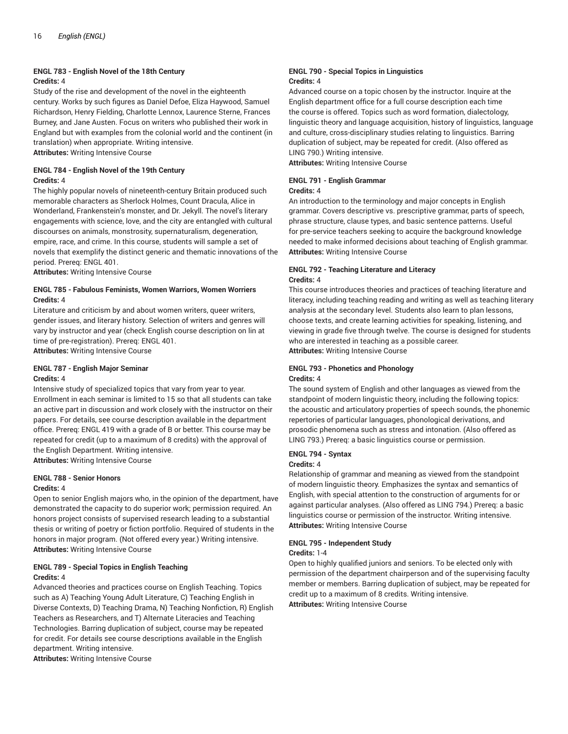# **ENGL 783 - English Novel of the 18th Century Credits:** 4

Study of the rise and development of the novel in the eighteenth century. Works by such figures as Daniel Defoe, Eliza Haywood, Samuel Richardson, Henry Fielding, Charlotte Lennox, Laurence Sterne, Frances Burney, and Jane Austen. Focus on writers who published their work in England but with examples from the colonial world and the continent (in translation) when appropriate. Writing intensive.

**Attributes:** Writing Intensive Course

# **ENGL 784 - English Novel of the 19th Century Credits:** 4

The highly popular novels of nineteenth-century Britain produced such memorable characters as Sherlock Holmes, Count Dracula, Alice in Wonderland, Frankenstein's monster, and Dr. Jekyll. The novel's literary engagements with science, love, and the city are entangled with cultural discourses on animals, monstrosity, supernaturalism, degeneration, empire, race, and crime. In this course, students will sample a set of novels that exemplify the distinct generic and thematic innovations of the period. Prereq: ENGL 401.

**Attributes:** Writing Intensive Course

# **ENGL 785 - Fabulous Feminists, Women Warriors, Women Worriers Credits:** 4

Literature and criticism by and about women writers, queer writers, gender issues, and literary history. Selection of writers and genres will vary by instructor and year (check English course description on lin at time of pre-registration). Prereq: ENGL 401.

**Attributes:** Writing Intensive Course

# **ENGL 787 - English Major Seminar Credits:** 4

Intensive study of specialized topics that vary from year to year. Enrollment in each seminar is limited to 15 so that all students can take an active part in discussion and work closely with the instructor on their papers. For details, see course description available in the department office. Prereq: ENGL 419 with a grade of B or better. This course may be repeated for credit (up to a maximum of 8 credits) with the approval of the English Department. Writing intensive.

**Attributes:** Writing Intensive Course

# **ENGL 788 - Senior Honors Credits:** 4

Open to senior English majors who, in the opinion of the department, have demonstrated the capacity to do superior work; permission required. An honors project consists of supervised research leading to a substantial thesis or writing of poetry or fiction portfolio. Required of students in the honors in major program. (Not offered every year.) Writing intensive. **Attributes:** Writing Intensive Course

# **ENGL 789 - Special Topics in English Teaching Credits:** 4

Advanced theories and practices course on English Teaching. Topics such as A) Teaching Young Adult Literature, C) Teaching English in Diverse Contexts, D) Teaching Drama, N) Teaching Nonfiction, R) English Teachers as Researchers, and T) Alternate Literacies and Teaching Technologies. Barring duplication of subject, course may be repeated for credit. For details see course descriptions available in the English department. Writing intensive.

**Attributes:** Writing Intensive Course

### **ENGL 790 - Special Topics in Linguistics Credits:** 4

Advanced course on a topic chosen by the instructor. Inquire at the English department office for a full course description each time the course is offered. Topics such as word formation, dialectology, linguistic theory and language acquisition, history of linguistics, language and culture, cross-disciplinary studies relating to linguistics. Barring duplication of subject, may be repeated for credit. (Also offered as LING 790.) Writing intensive.

**Attributes:** Writing Intensive Course

# **ENGL 791 - English Grammar**

# **Credits:** 4

An introduction to the terminology and major concepts in English grammar. Covers descriptive vs. prescriptive grammar, parts of speech, phrase structure, clause types, and basic sentence patterns. Useful for pre-service teachers seeking to acquire the background knowledge needed to make informed decisions about teaching of English grammar. **Attributes:** Writing Intensive Course

#### **ENGL 792 - Teaching Literature and Literacy Credits:** 4

This course introduces theories and practices of teaching literature and literacy, including teaching reading and writing as well as teaching literary analysis at the secondary level. Students also learn to plan lessons, choose texts, and create learning activities for speaking, listening, and viewing in grade five through twelve. The course is designed for students who are interested in teaching as a possible career. **Attributes:** Writing Intensive Course

# **ENGL 793 - Phonetics and Phonology Credits:** 4

The sound system of English and other languages as viewed from the standpoint of modern linguistic theory, including the following topics: the acoustic and articulatory properties of speech sounds, the phonemic repertories of particular languages, phonological derivations, and prosodic phenomena such as stress and intonation. (Also offered as LING 793.) Prereq: a basic linguistics course or permission.

# **ENGL 794 - Syntax**

# **Credits:** 4

Relationship of grammar and meaning as viewed from the standpoint of modern linguistic theory. Emphasizes the syntax and semantics of English, with special attention to the construction of arguments for or against particular analyses. (Also offered as LING 794.) Prereq: a basic linguistics course or permission of the instructor. Writing intensive. **Attributes:** Writing Intensive Course

# **ENGL 795 - Independent Study**

#### **Credits:** 1-4

Open to highly qualified juniors and seniors. To be elected only with permission of the department chairperson and of the supervising faculty member or members. Barring duplication of subject, may be repeated for credit up to a maximum of 8 credits. Writing intensive. **Attributes:** Writing Intensive Course